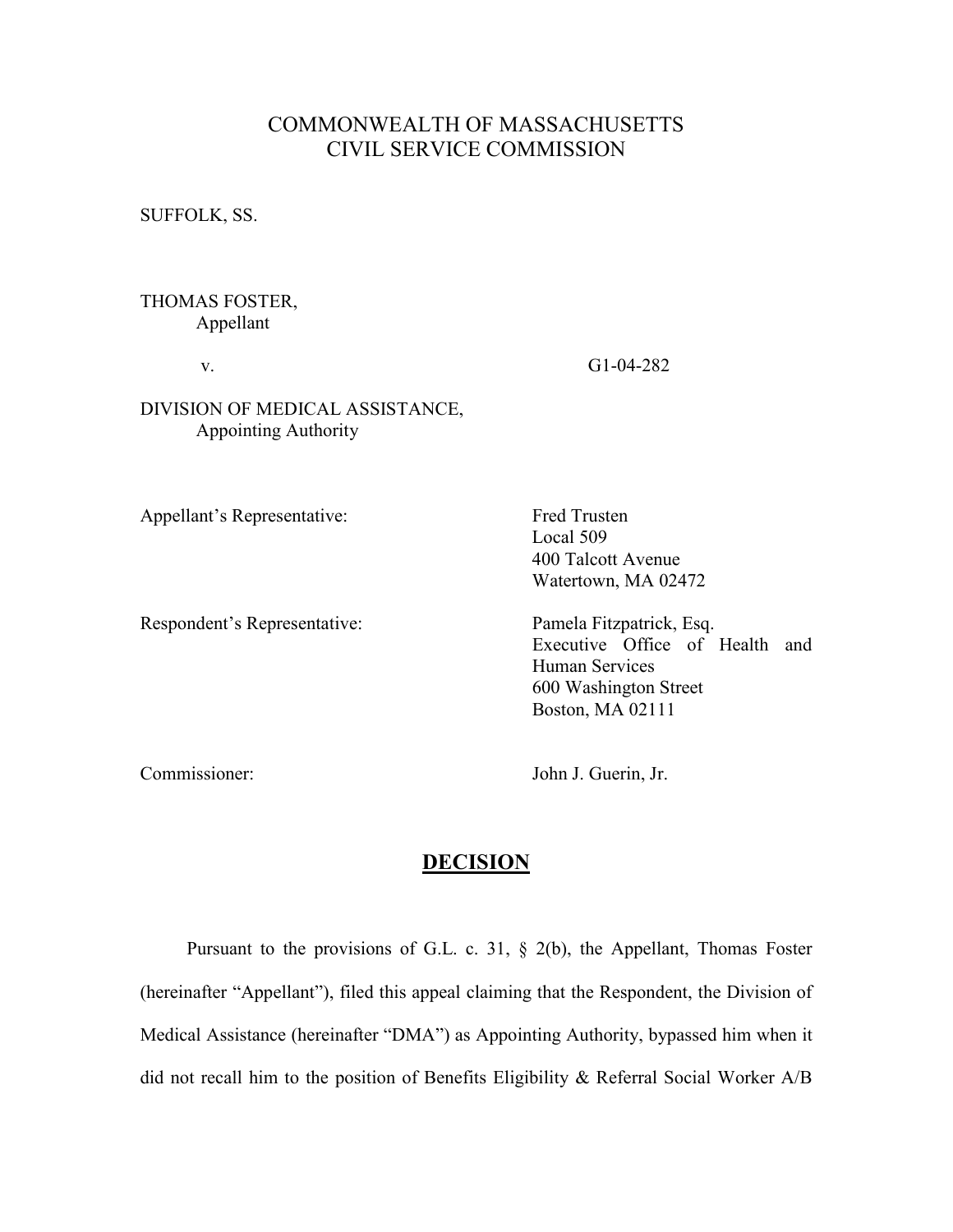# COMMONWEALTH OF MASSACHUSETTS CIVIL SERVICE COMMISSION

SUFFOLK, SS.

### THOMAS FOSTER, Appellant

v. G1-04-282

## DIVISION OF MEDICAL ASSISTANCE, Appointing Authority

Appellant's Representative: Fred Trusten

Respondent's Representative: Pamela Fitzpatrick, Esq.

 Local 509 400 Talcott Avenue Watertown, MA 02472

Executive Office of Health and Human Services 600 Washington Street Boston, MA 02111

Commissioner: John J. Guerin, Jr.

## **DECISION**

Pursuant to the provisions of G.L. c. 31,  $\S$  2(b), the Appellant, Thomas Foster (hereinafter "Appellant"), filed this appeal claiming that the Respondent, the Division of Medical Assistance (hereinafter "DMA") as Appointing Authority, bypassed him when it did not recall him to the position of Benefits Eligibility & Referral Social Worker A/B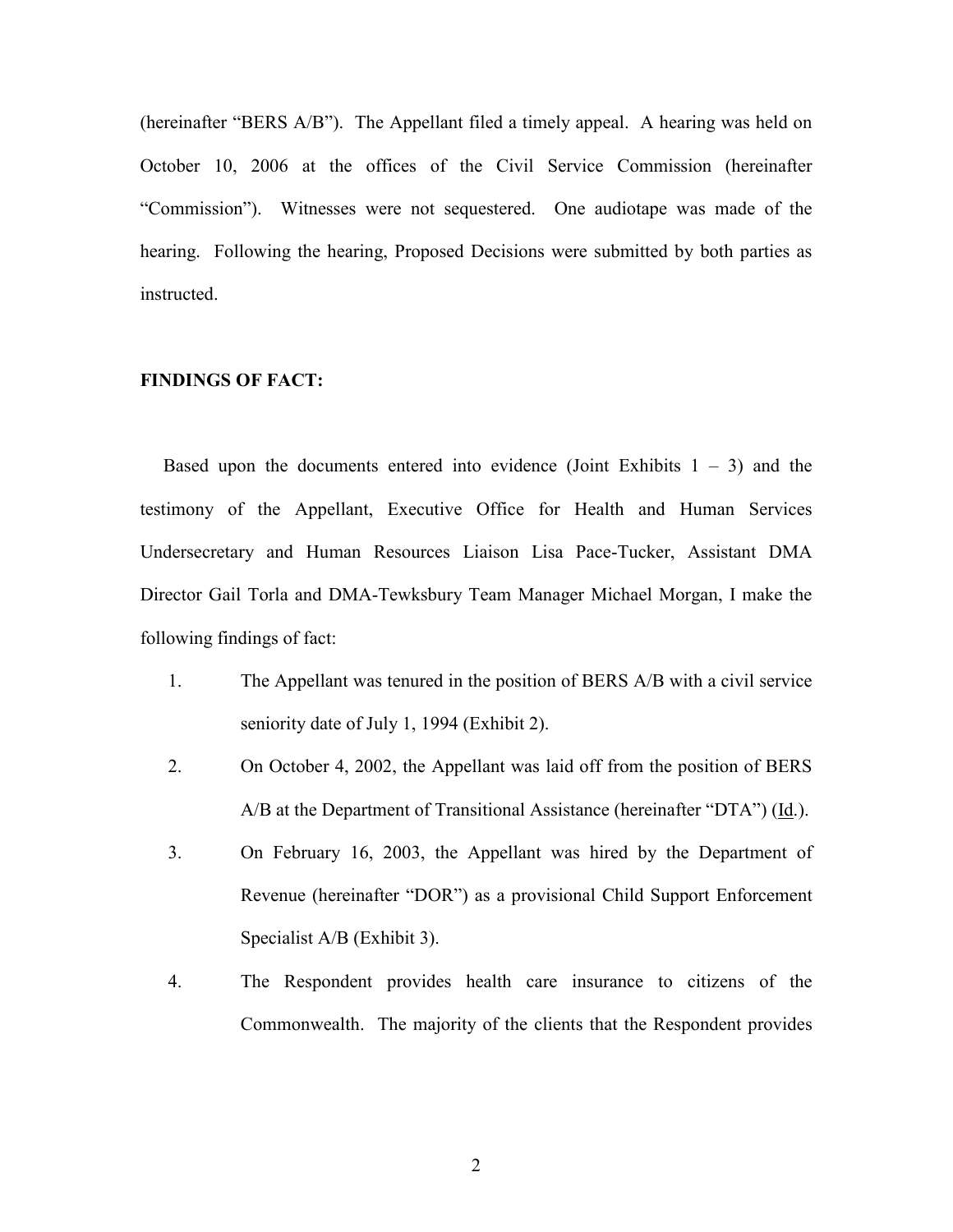(hereinafter "BERS A/B"). The Appellant filed a timely appeal. A hearing was held on October 10, 2006 at the offices of the Civil Service Commission (hereinafter "Commission"). Witnesses were not sequestered. One audiotape was made of the hearing. Following the hearing, Proposed Decisions were submitted by both parties as instructed.

## FINDINGS OF FACT:

Based upon the documents entered into evidence (Joint Exhibits  $1 - 3$ ) and the testimony of the Appellant, Executive Office for Health and Human Services Undersecretary and Human Resources Liaison Lisa Pace-Tucker, Assistant DMA Director Gail Torla and DMA-Tewksbury Team Manager Michael Morgan, I make the following findings of fact:

- 1. The Appellant was tenured in the position of BERS A/B with a civil service seniority date of July 1, 1994 (Exhibit 2).
- 2. On October 4, 2002, the Appellant was laid off from the position of BERS  $A/B$  at the Department of Transitional Assistance (hereinafter "DTA") ( $\underline{Id}$ .).
- 3. On February 16, 2003, the Appellant was hired by the Department of Revenue (hereinafter "DOR") as a provisional Child Support Enforcement Specialist A/B (Exhibit 3).
- 4. The Respondent provides health care insurance to citizens of the Commonwealth. The majority of the clients that the Respondent provides

2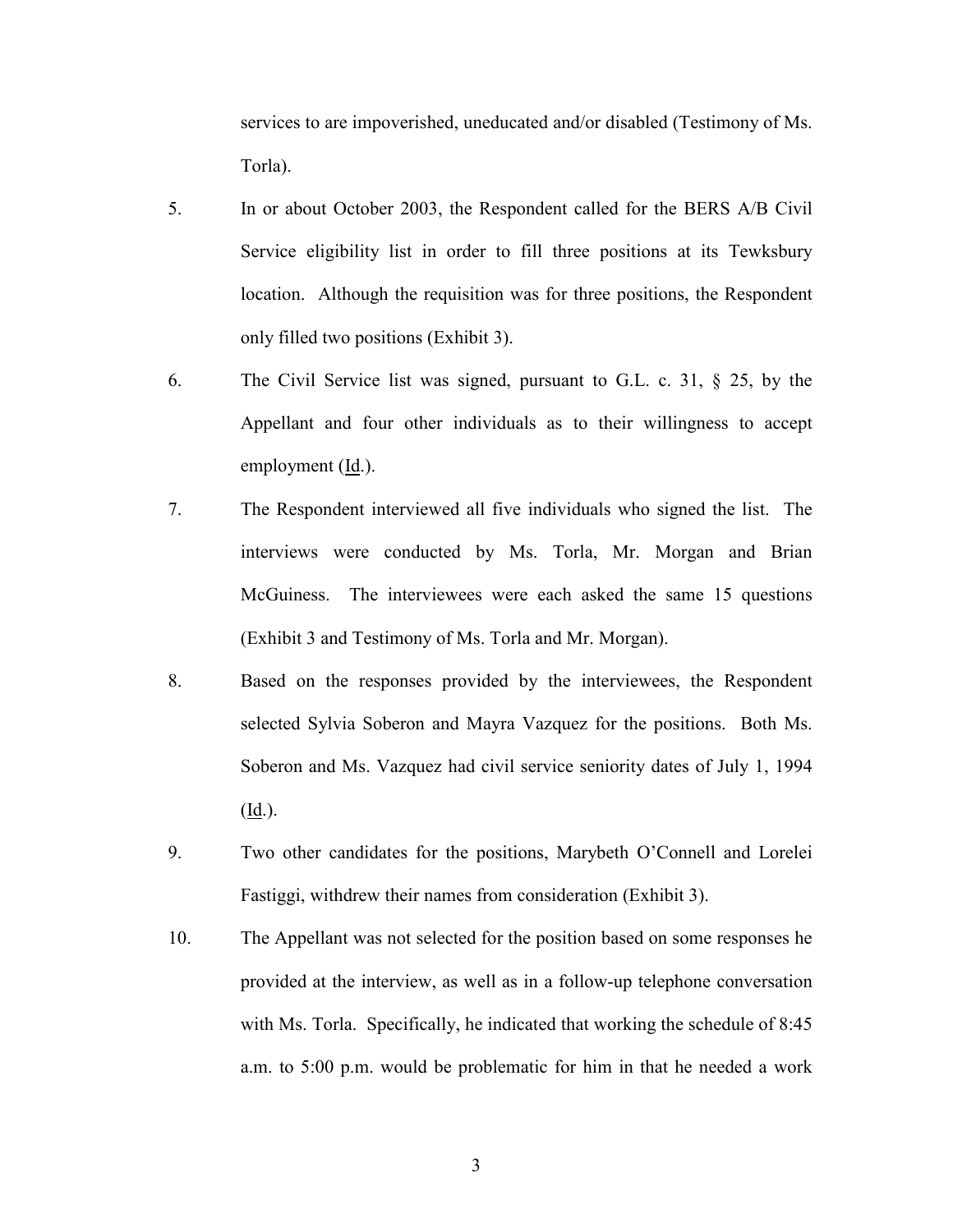services to are impoverished, uneducated and/or disabled (Testimony of Ms. Torla).

- 5. In or about October 2003, the Respondent called for the BERS A/B Civil Service eligibility list in order to fill three positions at its Tewksbury location. Although the requisition was for three positions, the Respondent only filled two positions (Exhibit 3).
- 6. The Civil Service list was signed, pursuant to G.L. c. 31, § 25, by the Appellant and four other individuals as to their willingness to accept employment (Id.).
- 7. The Respondent interviewed all five individuals who signed the list. The interviews were conducted by Ms. Torla, Mr. Morgan and Brian McGuiness. The interviewees were each asked the same 15 questions (Exhibit 3 and Testimony of Ms. Torla and Mr. Morgan).
- 8. Based on the responses provided by the interviewees, the Respondent selected Sylvia Soberon and Mayra Vazquez for the positions. Both Ms. Soberon and Ms. Vazquez had civil service seniority dates of July 1, 1994 (Id.).
- 9. Two other candidates for the positions, Marybeth O'Connell and Lorelei Fastiggi, withdrew their names from consideration (Exhibit 3).
- 10. The Appellant was not selected for the position based on some responses he provided at the interview, as well as in a follow-up telephone conversation with Ms. Torla. Specifically, he indicated that working the schedule of 8:45 a.m. to 5:00 p.m. would be problematic for him in that he needed a work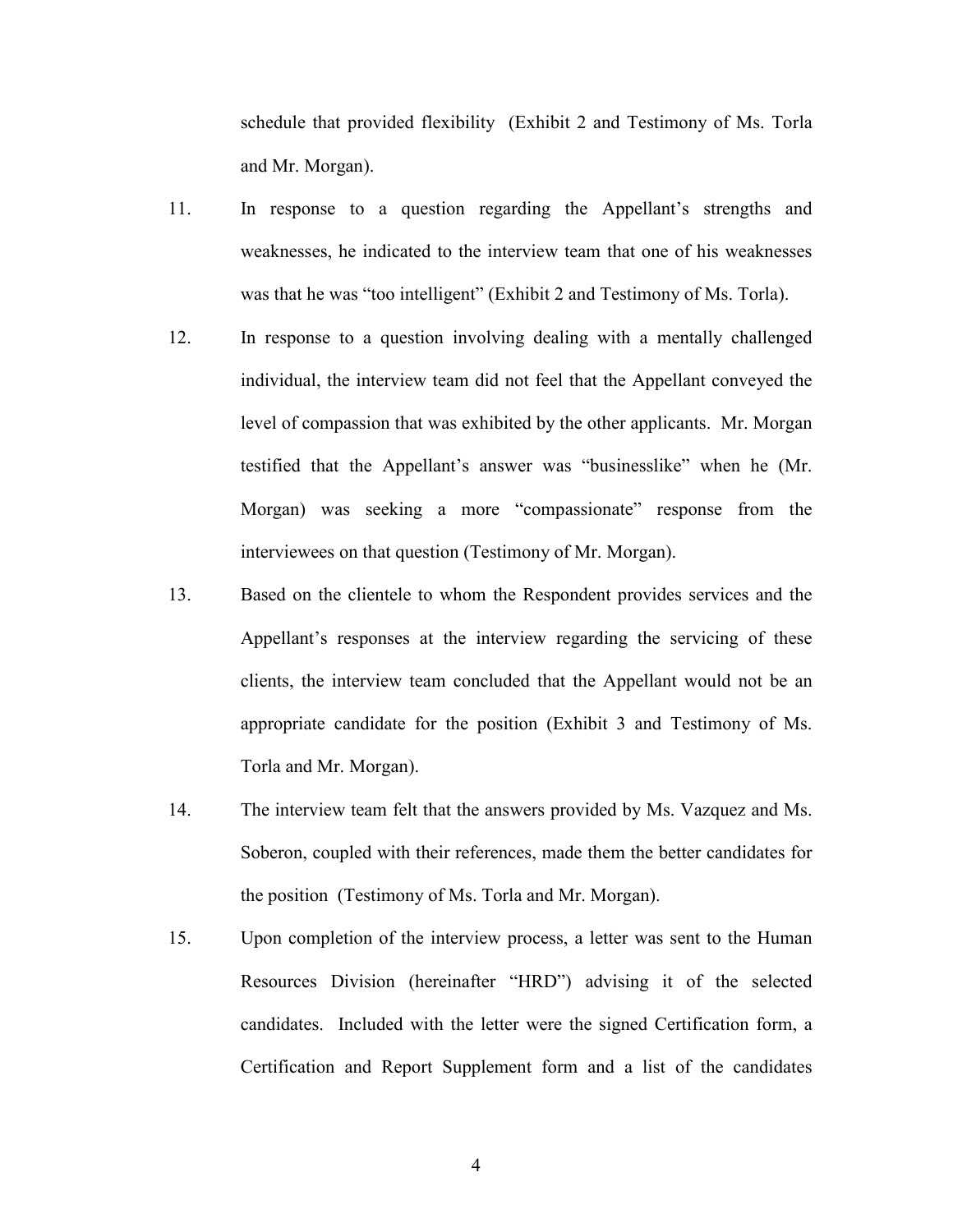schedule that provided flexibility (Exhibit 2 and Testimony of Ms. Torla and Mr. Morgan).

- 11. In response to a question regarding the Appellant's strengths and weaknesses, he indicated to the interview team that one of his weaknesses was that he was "too intelligent" (Exhibit 2 and Testimony of Ms. Torla).
- 12. In response to a question involving dealing with a mentally challenged individual, the interview team did not feel that the Appellant conveyed the level of compassion that was exhibited by the other applicants. Mr. Morgan testified that the Appellant's answer was "businesslike" when he (Mr. Morgan) was seeking a more "compassionate" response from the interviewees on that question (Testimony of Mr. Morgan).
- 13. Based on the clientele to whom the Respondent provides services and the Appellant's responses at the interview regarding the servicing of these clients, the interview team concluded that the Appellant would not be an appropriate candidate for the position (Exhibit 3 and Testimony of Ms. Torla and Mr. Morgan).
- 14. The interview team felt that the answers provided by Ms. Vazquez and Ms. Soberon, coupled with their references, made them the better candidates for the position (Testimony of Ms. Torla and Mr. Morgan).
- 15. Upon completion of the interview process, a letter was sent to the Human Resources Division (hereinafter "HRD") advising it of the selected candidates. Included with the letter were the signed Certification form, a Certification and Report Supplement form and a list of the candidates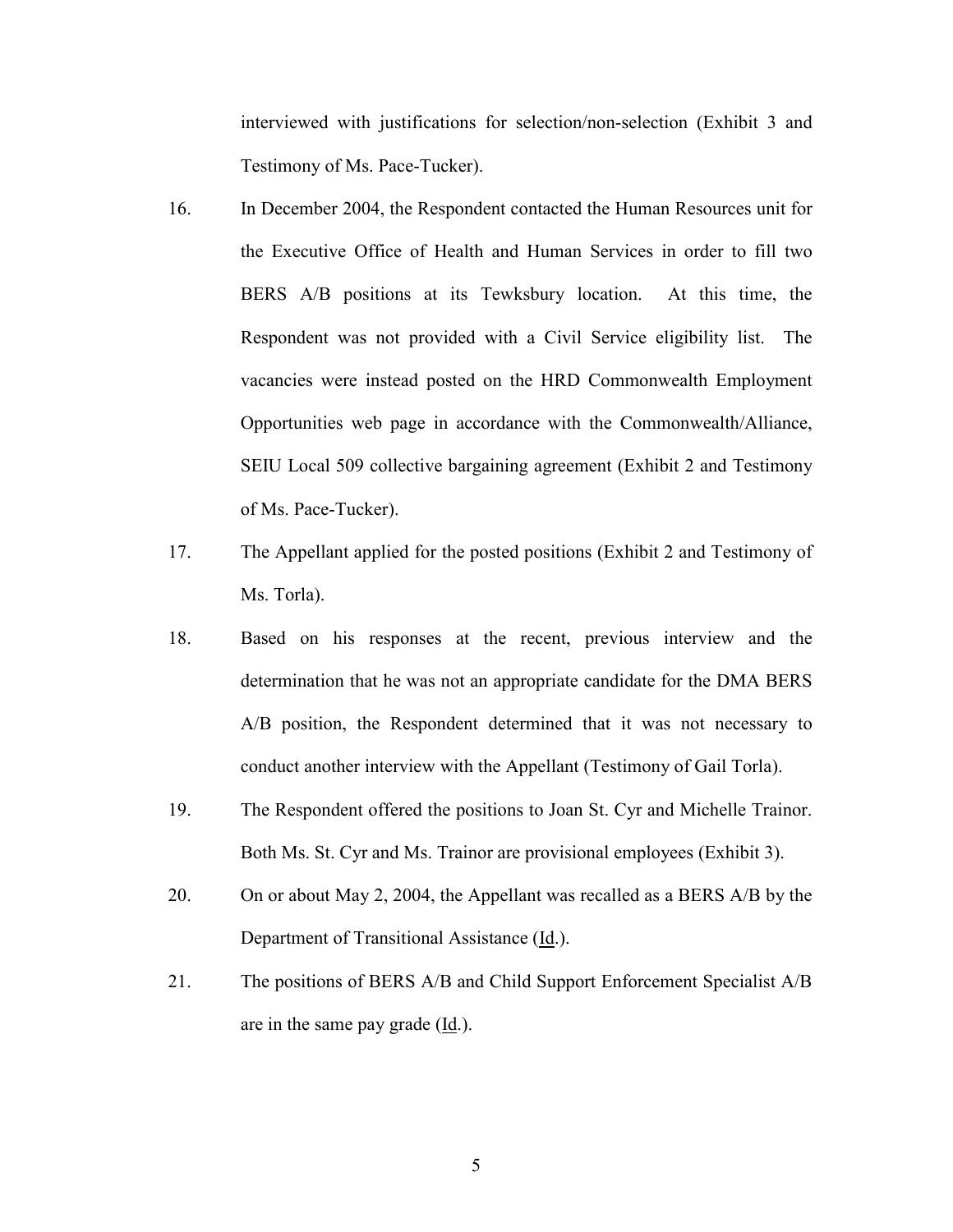interviewed with justifications for selection/non-selection (Exhibit 3 and Testimony of Ms. Pace-Tucker).

- 16. In December 2004, the Respondent contacted the Human Resources unit for the Executive Office of Health and Human Services in order to fill two BERS A/B positions at its Tewksbury location. At this time, the Respondent was not provided with a Civil Service eligibility list. The vacancies were instead posted on the HRD Commonwealth Employment Opportunities web page in accordance with the Commonwealth/Alliance, SEIU Local 509 collective bargaining agreement (Exhibit 2 and Testimony of Ms. Pace-Tucker).
- 17. The Appellant applied for the posted positions (Exhibit 2 and Testimony of Ms. Torla).
- 18. Based on his responses at the recent, previous interview and the determination that he was not an appropriate candidate for the DMA BERS A/B position, the Respondent determined that it was not necessary to conduct another interview with the Appellant (Testimony of Gail Torla).
- 19. The Respondent offered the positions to Joan St. Cyr and Michelle Trainor. Both Ms. St. Cyr and Ms. Trainor are provisional employees (Exhibit 3).
- 20. On or about May 2, 2004, the Appellant was recalled as a BERS A/B by the Department of Transitional Assistance (Id.).
- 21. The positions of BERS A/B and Child Support Enforcement Specialist A/B are in the same pay grade (Id.).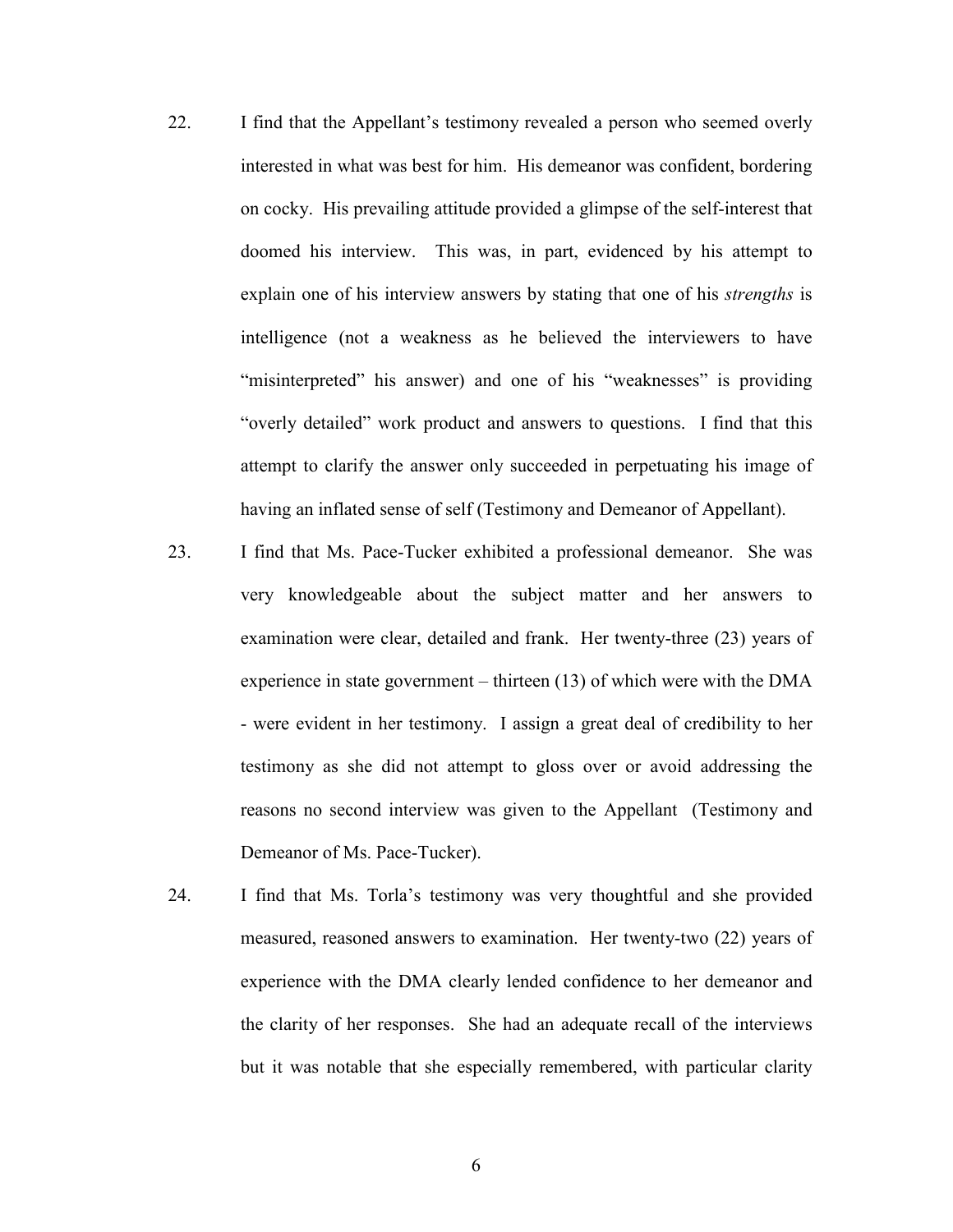- 22. I find that the Appellant's testimony revealed a person who seemed overly interested in what was best for him. His demeanor was confident, bordering on cocky. His prevailing attitude provided a glimpse of the self-interest that doomed his interview. This was, in part, evidenced by his attempt to explain one of his interview answers by stating that one of his *strengths* is intelligence (not a weakness as he believed the interviewers to have "misinterpreted" his answer) and one of his "weaknesses" is providing "overly detailed" work product and answers to questions. I find that this attempt to clarify the answer only succeeded in perpetuating his image of having an inflated sense of self (Testimony and Demeanor of Appellant).
- 23. I find that Ms. Pace-Tucker exhibited a professional demeanor. She was very knowledgeable about the subject matter and her answers to examination were clear, detailed and frank. Her twenty-three (23) years of experience in state government – thirteen (13) of which were with the DMA - were evident in her testimony. I assign a great deal of credibility to her testimony as she did not attempt to gloss over or avoid addressing the reasons no second interview was given to the Appellant (Testimony and Demeanor of Ms. Pace-Tucker).
- 24. I find that Ms. Torla's testimony was very thoughtful and she provided measured, reasoned answers to examination. Her twenty-two (22) years of experience with the DMA clearly lended confidence to her demeanor and the clarity of her responses. She had an adequate recall of the interviews but it was notable that she especially remembered, with particular clarity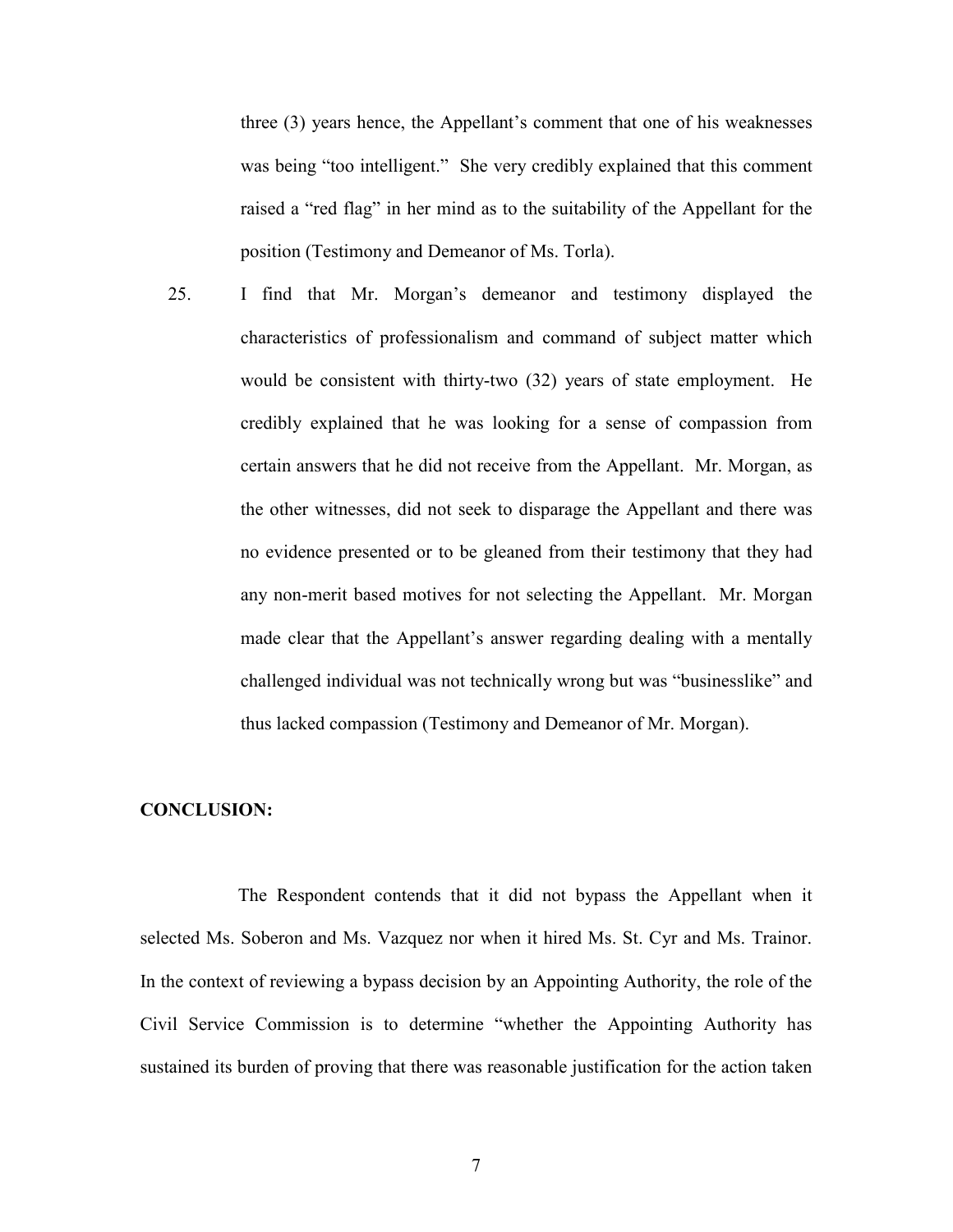three (3) years hence, the Appellant's comment that one of his weaknesses was being "too intelligent." She very credibly explained that this comment raised a "red flag" in her mind as to the suitability of the Appellant for the position (Testimony and Demeanor of Ms. Torla).

25. I find that Mr. Morgan's demeanor and testimony displayed the characteristics of professionalism and command of subject matter which would be consistent with thirty-two (32) years of state employment. He credibly explained that he was looking for a sense of compassion from certain answers that he did not receive from the Appellant. Mr. Morgan, as the other witnesses, did not seek to disparage the Appellant and there was no evidence presented or to be gleaned from their testimony that they had any non-merit based motives for not selecting the Appellant. Mr. Morgan made clear that the Appellant's answer regarding dealing with a mentally challenged individual was not technically wrong but was "businesslike" and thus lacked compassion (Testimony and Demeanor of Mr. Morgan).

#### CONCLUSION:

 The Respondent contends that it did not bypass the Appellant when it selected Ms. Soberon and Ms. Vazquez nor when it hired Ms. St. Cyr and Ms. Trainor. In the context of reviewing a bypass decision by an Appointing Authority, the role of the Civil Service Commission is to determine "whether the Appointing Authority has sustained its burden of proving that there was reasonable justification for the action taken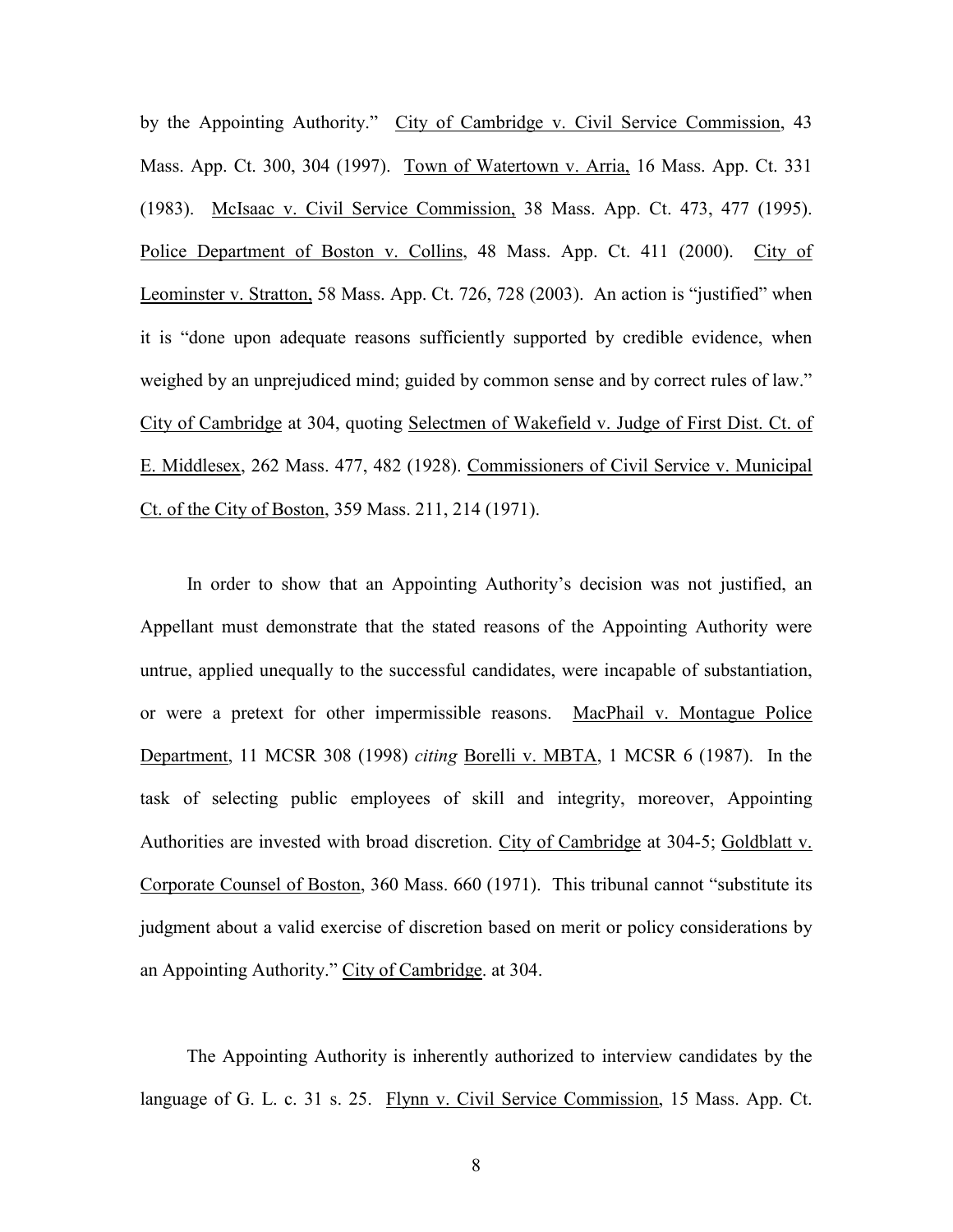by the Appointing Authority." City of Cambridge v. Civil Service Commission, 43 Mass. App. Ct. 300, 304 (1997). Town of Watertown v. Arria, 16 Mass. App. Ct. 331 (1983). McIsaac v. Civil Service Commission, 38 Mass. App. Ct. 473, 477 (1995). Police Department of Boston v. Collins, 48 Mass. App. Ct. 411 (2000). City of Leominster v. Stratton, 58 Mass. App. Ct. 726, 728 (2003). An action is "justified" when it is "done upon adequate reasons sufficiently supported by credible evidence, when weighed by an unprejudiced mind; guided by common sense and by correct rules of law." City of Cambridge at 304, quoting Selectmen of Wakefield v. Judge of First Dist. Ct. of E. Middlesex, 262 Mass. 477, 482 (1928). Commissioners of Civil Service v. Municipal Ct. of the City of Boston, 359 Mass. 211, 214 (1971).

 In order to show that an Appointing Authority's decision was not justified, an Appellant must demonstrate that the stated reasons of the Appointing Authority were untrue, applied unequally to the successful candidates, were incapable of substantiation, or were a pretext for other impermissible reasons. MacPhail v. Montague Police Department, 11 MCSR 308 (1998) citing Borelli v. MBTA, 1 MCSR 6 (1987). In the task of selecting public employees of skill and integrity, moreover, Appointing Authorities are invested with broad discretion. City of Cambridge at 304-5; Goldblatt v. Corporate Counsel of Boston, 360 Mass. 660 (1971). This tribunal cannot "substitute its judgment about a valid exercise of discretion based on merit or policy considerations by an Appointing Authority." City of Cambridge. at 304.

 The Appointing Authority is inherently authorized to interview candidates by the language of G. L. c. 31 s. 25. Flynn v. Civil Service Commission, 15 Mass. App. Ct.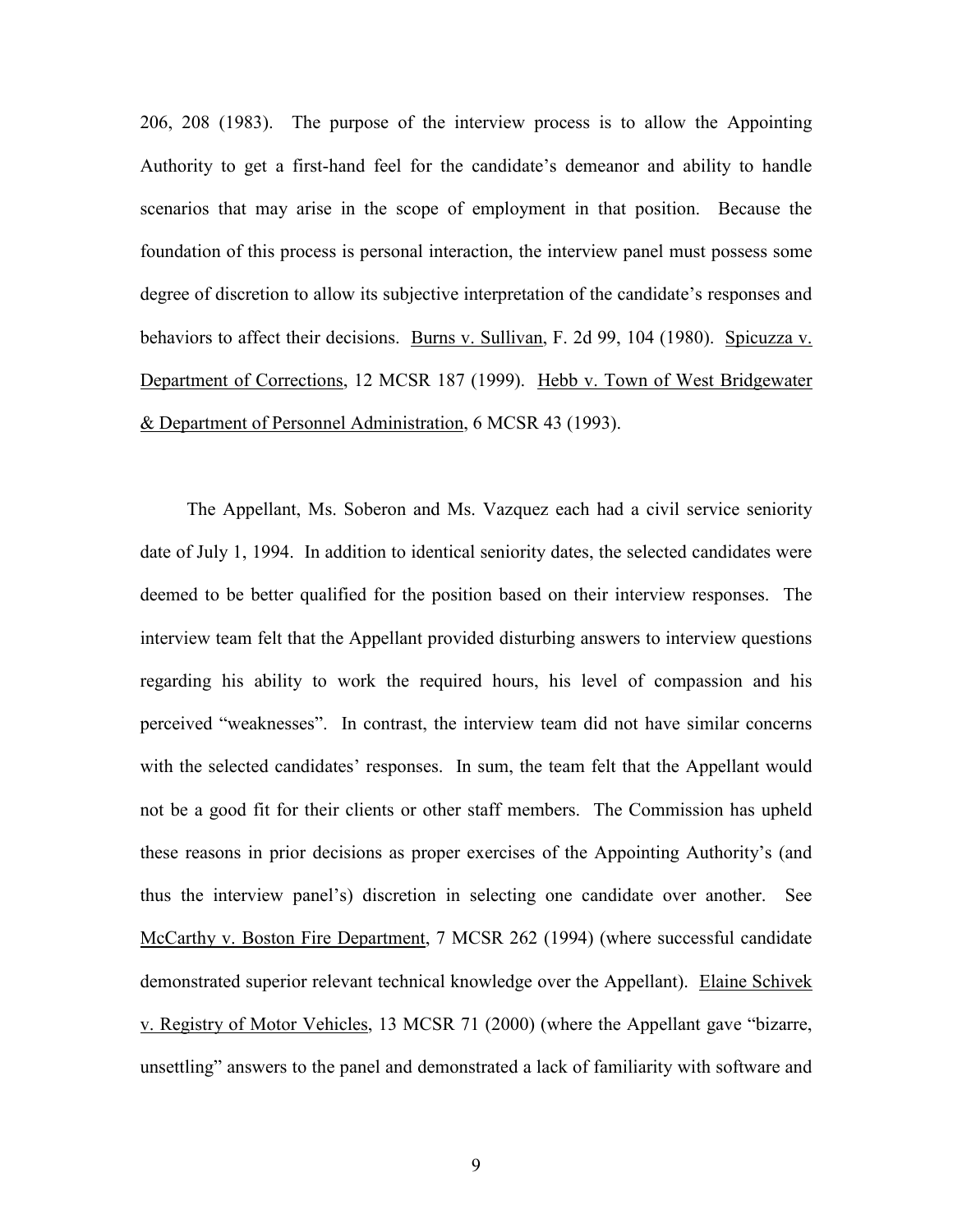206, 208 (1983). The purpose of the interview process is to allow the Appointing Authority to get a first-hand feel for the candidate's demeanor and ability to handle scenarios that may arise in the scope of employment in that position. Because the foundation of this process is personal interaction, the interview panel must possess some degree of discretion to allow its subjective interpretation of the candidate's responses and behaviors to affect their decisions. Burns v. Sullivan, F. 2d 99, 104 (1980). Spicuzza v. Department of Corrections, 12 MCSR 187 (1999). Hebb v. Town of West Bridgewater & Department of Personnel Administration, 6 MCSR 43 (1993).

 The Appellant, Ms. Soberon and Ms. Vazquez each had a civil service seniority date of July 1, 1994. In addition to identical seniority dates, the selected candidates were deemed to be better qualified for the position based on their interview responses. The interview team felt that the Appellant provided disturbing answers to interview questions regarding his ability to work the required hours, his level of compassion and his perceived "weaknesses". In contrast, the interview team did not have similar concerns with the selected candidates' responses. In sum, the team felt that the Appellant would not be a good fit for their clients or other staff members. The Commission has upheld these reasons in prior decisions as proper exercises of the Appointing Authority's (and thus the interview panel's) discretion in selecting one candidate over another. See McCarthy v. Boston Fire Department, 7 MCSR 262 (1994) (where successful candidate demonstrated superior relevant technical knowledge over the Appellant). Elaine Schivek v. Registry of Motor Vehicles, 13 MCSR 71 (2000) (where the Appellant gave "bizarre, unsettling" answers to the panel and demonstrated a lack of familiarity with software and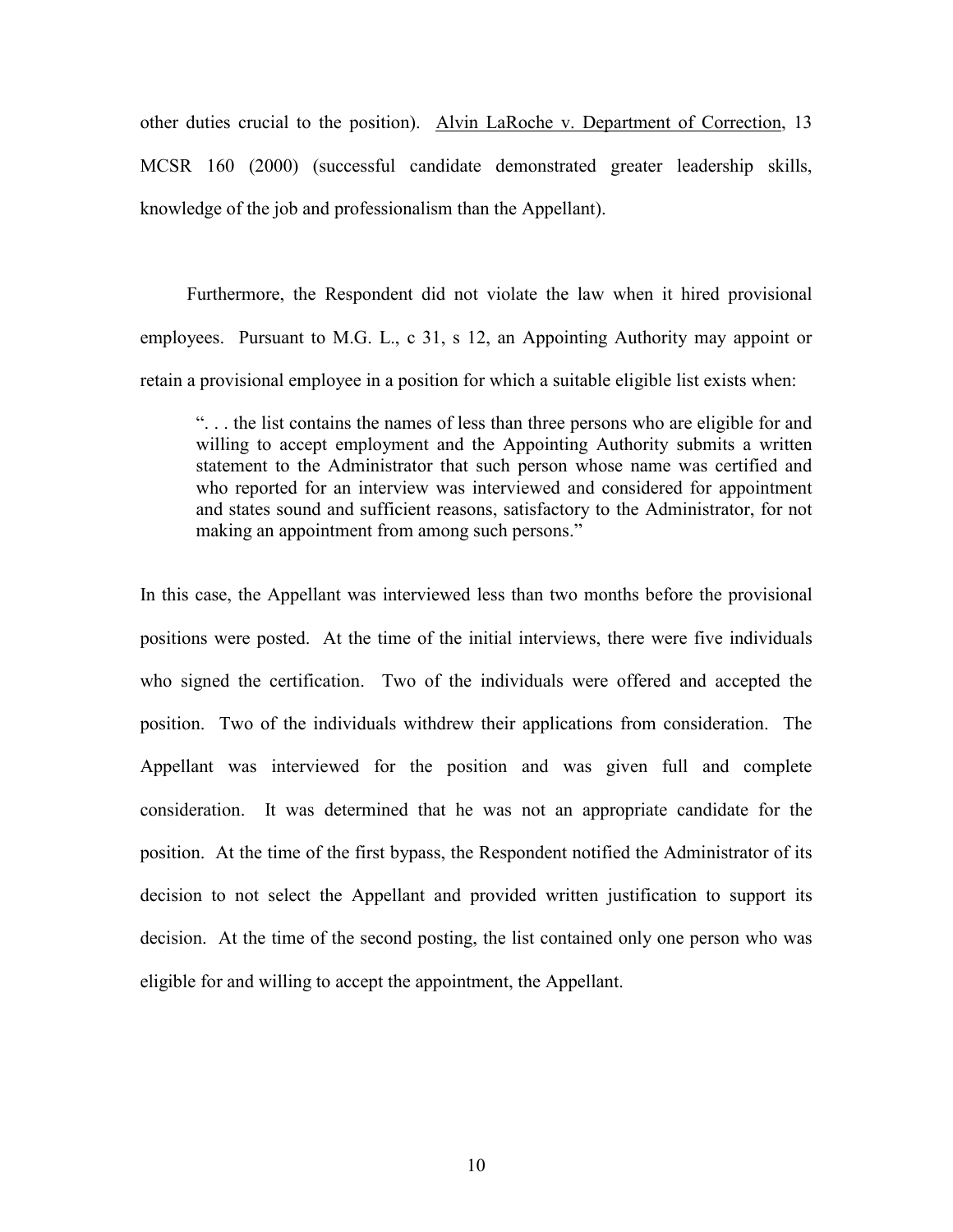other duties crucial to the position). Alvin LaRoche v. Department of Correction, 13 MCSR 160 (2000) (successful candidate demonstrated greater leadership skills, knowledge of the job and professionalism than the Appellant).

 Furthermore, the Respondent did not violate the law when it hired provisional employees. Pursuant to M.G. L., c 31, s 12, an Appointing Authority may appoint or retain a provisional employee in a position for which a suitable eligible list exists when:

". . . the list contains the names of less than three persons who are eligible for and willing to accept employment and the Appointing Authority submits a written statement to the Administrator that such person whose name was certified and who reported for an interview was interviewed and considered for appointment and states sound and sufficient reasons, satisfactory to the Administrator, for not making an appointment from among such persons."

In this case, the Appellant was interviewed less than two months before the provisional positions were posted. At the time of the initial interviews, there were five individuals who signed the certification. Two of the individuals were offered and accepted the position. Two of the individuals withdrew their applications from consideration. The Appellant was interviewed for the position and was given full and complete consideration. It was determined that he was not an appropriate candidate for the position. At the time of the first bypass, the Respondent notified the Administrator of its decision to not select the Appellant and provided written justification to support its decision. At the time of the second posting, the list contained only one person who was eligible for and willing to accept the appointment, the Appellant.